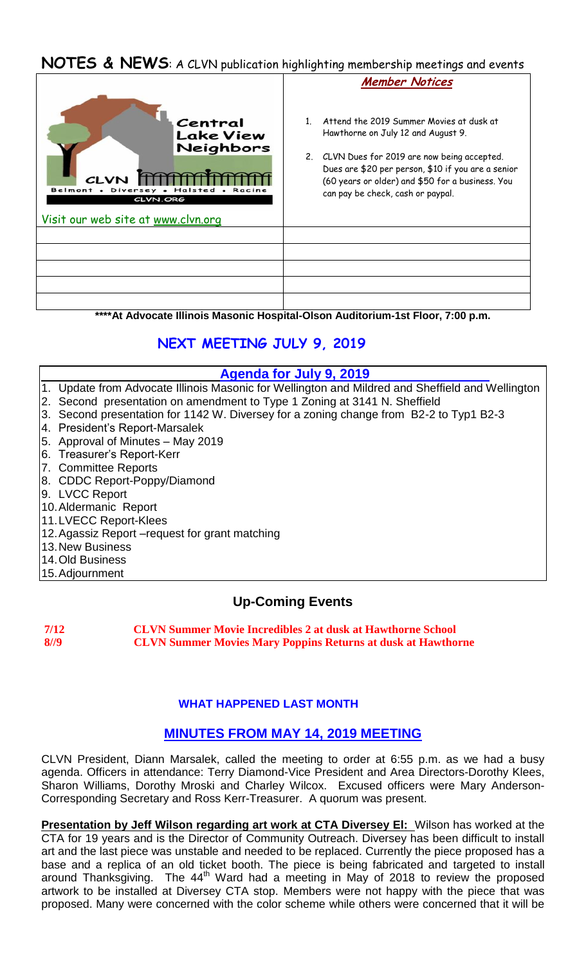# **NOTES & NEWS**: A CLVN publication highlighting membership meetings and events

|                                                                                                                                      | <b>Member Notices</b>                                                                                                                                                                                                                                                          |
|--------------------------------------------------------------------------------------------------------------------------------------|--------------------------------------------------------------------------------------------------------------------------------------------------------------------------------------------------------------------------------------------------------------------------------|
| Central<br><b>Lake View</b><br>Neighbors<br><b>CLVN</b><br><b>Belmont</b><br>Diver<br>CLVN.ORG<br>Visit our web site at www.clvn.org | Attend the 2019 Summer Movies at dusk at<br>Hawthorne on July 12 and August 9.<br>2. CLVN Dues for 2019 are now being accepted.<br>Dues are \$20 per person, \$10 if you are a senior<br>(60 years or older) and \$50 for a business. You<br>can pay be check, cash or paypal. |
|                                                                                                                                      |                                                                                                                                                                                                                                                                                |
|                                                                                                                                      |                                                                                                                                                                                                                                                                                |
|                                                                                                                                      |                                                                                                                                                                                                                                                                                |
|                                                                                                                                      |                                                                                                                                                                                                                                                                                |
|                                                                                                                                      |                                                                                                                                                                                                                                                                                |

**\*\*\*\*At Advocate Illinois Masonic Hospital-Olson Auditorium-1st Floor, 7:00 p.m.**

# **NEXT MEETING JULY 9, 2019**

# **Agenda for July 9, 2019**

- 1. Update from Advocate Illinois Masonic for Wellington and Mildred and Sheffield and Wellington
- 2. Second presentation on amendment to Type 1 Zoning at 3141 N. Sheffield
- 3. Second presentation for 1142 W. Diversey for a zoning change from B2-2 to Typ1 B2-3
- 4. President's Report-Marsalek
- 5. Approval of Minutes May 2019
- 6. Treasurer's Report-Kerr
- 7. Committee Reports
- 8. CDDC Report-Poppy/Diamond
- 9. LVCC Report
- 10.Aldermanic Report
- 11.LVECC Report-Klees
- 12.Agassiz Report –request for grant matching
- 13.New Business
- 14.Old Business
- 15.Adjournment

# **Up-Coming Events**

**7/12 CLVN Summer Movie Incredibles 2 at dusk at Hawthorne School 8//9 CLVN Summer Movies Mary Poppins Returns at dusk at Hawthorne** 

# **WHAT HAPPENED LAST MONTH**

# **MINUTES FROM MAY 14, 2019 MEETING**

CLVN President, Diann Marsalek, called the meeting to order at 6:55 p.m. as we had a busy agenda. Officers in attendance: Terry Diamond-Vice President and Area Directors-Dorothy Klees, Sharon Williams, Dorothy Mroski and Charley Wilcox. Excused officers were Mary Anderson-Corresponding Secretary and Ross Kerr-Treasurer. A quorum was present.

**Presentation by Jeff Wilson regarding art work at CTA Diversey EI:** Wilson has worked at the CTA for 19 years and is the Director of Community Outreach. Diversey has been difficult to install art and the last piece was unstable and needed to be replaced. Currently the piece proposed has a base and a replica of an old ticket booth. The piece is being fabricated and targeted to install around Thanksgiving. The  $44<sup>th</sup>$  Ward had a meeting in May of 2018 to review the proposed artwork to be installed at Diversey CTA stop. Members were not happy with the piece that was proposed. Many were concerned with the color scheme while others were concerned that it will be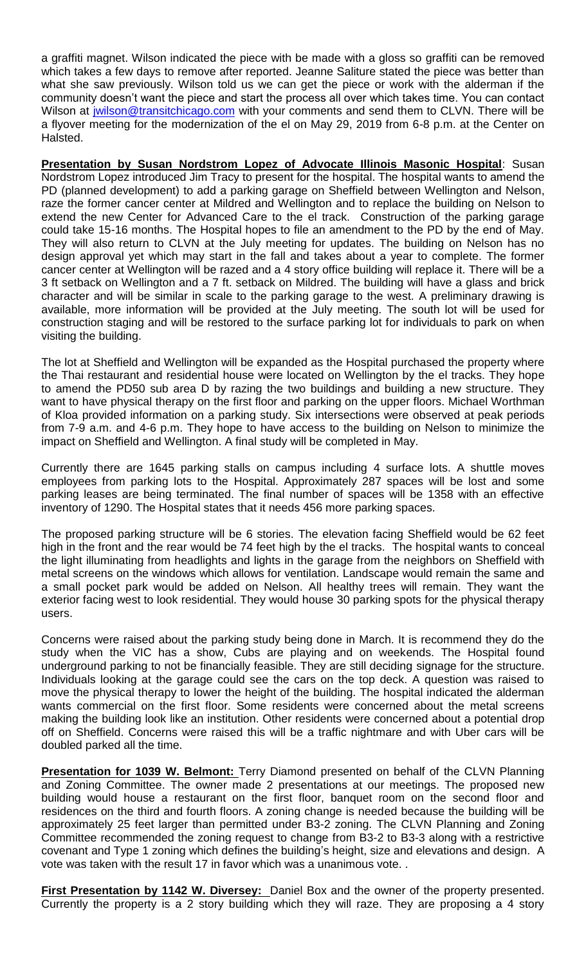a graffiti magnet. Wilson indicated the piece with be made with a gloss so graffiti can be removed which takes a few days to remove after reported. Jeanne Saliture stated the piece was better than what she saw previously. Wilson told us we can get the piece or work with the alderman if the community doesn't want the piece and start the process all over which takes time. You can contact Wilson at [jwilson@transitchicago.com](mailto:jwilson@transitchicago.com) with your comments and send them to CLVN. There will be a flyover meeting for the modernization of the el on May 29, 2019 from 6-8 p.m. at the Center on Halsted.

**Presentation by Susan Nordstrom Lopez of Advocate Illinois Masonic Hospital**: Susan Nordstrom Lopez introduced Jim Tracy to present for the hospital. The hospital wants to amend the PD (planned development) to add a parking garage on Sheffield between Wellington and Nelson, raze the former cancer center at Mildred and Wellington and to replace the building on Nelson to extend the new Center for Advanced Care to the el track. Construction of the parking garage could take 15-16 months. The Hospital hopes to file an amendment to the PD by the end of May. They will also return to CLVN at the July meeting for updates. The building on Nelson has no design approval yet which may start in the fall and takes about a year to complete. The former cancer center at Wellington will be razed and a 4 story office building will replace it. There will be a 3 ft setback on Wellington and a 7 ft. setback on Mildred. The building will have a glass and brick character and will be similar in scale to the parking garage to the west. A preliminary drawing is available, more information will be provided at the July meeting. The south lot will be used for construction staging and will be restored to the surface parking lot for individuals to park on when visiting the building.

The lot at Sheffield and Wellington will be expanded as the Hospital purchased the property where the Thai restaurant and residential house were located on Wellington by the el tracks. They hope to amend the PD50 sub area D by razing the two buildings and building a new structure. They want to have physical therapy on the first floor and parking on the upper floors. Michael Worthman of Kloa provided information on a parking study. Six intersections were observed at peak periods from 7-9 a.m. and 4-6 p.m. They hope to have access to the building on Nelson to minimize the impact on Sheffield and Wellington. A final study will be completed in May.

Currently there are 1645 parking stalls on campus including 4 surface lots. A shuttle moves employees from parking lots to the Hospital. Approximately 287 spaces will be lost and some parking leases are being terminated. The final number of spaces will be 1358 with an effective inventory of 1290. The Hospital states that it needs 456 more parking spaces.

The proposed parking structure will be 6 stories. The elevation facing Sheffield would be 62 feet high in the front and the rear would be 74 feet high by the el tracks. The hospital wants to conceal the light illuminating from headlights and lights in the garage from the neighbors on Sheffield with metal screens on the windows which allows for ventilation. Landscape would remain the same and a small pocket park would be added on Nelson. All healthy trees will remain. They want the exterior facing west to look residential. They would house 30 parking spots for the physical therapy users.

Concerns were raised about the parking study being done in March. It is recommend they do the study when the VIC has a show, Cubs are playing and on weekends. The Hospital found underground parking to not be financially feasible. They are still deciding signage for the structure. Individuals looking at the garage could see the cars on the top deck. A question was raised to move the physical therapy to lower the height of the building. The hospital indicated the alderman wants commercial on the first floor. Some residents were concerned about the metal screens making the building look like an institution. Other residents were concerned about a potential drop off on Sheffield. Concerns were raised this will be a traffic nightmare and with Uber cars will be doubled parked all the time.

**Presentation for 1039 W. Belmont:** Terry Diamond presented on behalf of the CLVN Planning and Zoning Committee. The owner made 2 presentations at our meetings. The proposed new building would house a restaurant on the first floor, banquet room on the second floor and residences on the third and fourth floors. A zoning change is needed because the building will be approximately 25 feet larger than permitted under B3-2 zoning. The CLVN Planning and Zoning Committee recommended the zoning request to change from B3-2 to B3-3 along with a restrictive covenant and Type 1 zoning which defines the building's height, size and elevations and design. A vote was taken with the result 17 in favor which was a unanimous vote. .

**First Presentation by 1142 W. Diversey:** Daniel Box and the owner of the property presented. Currently the property is a 2 story building which they will raze. They are proposing a 4 story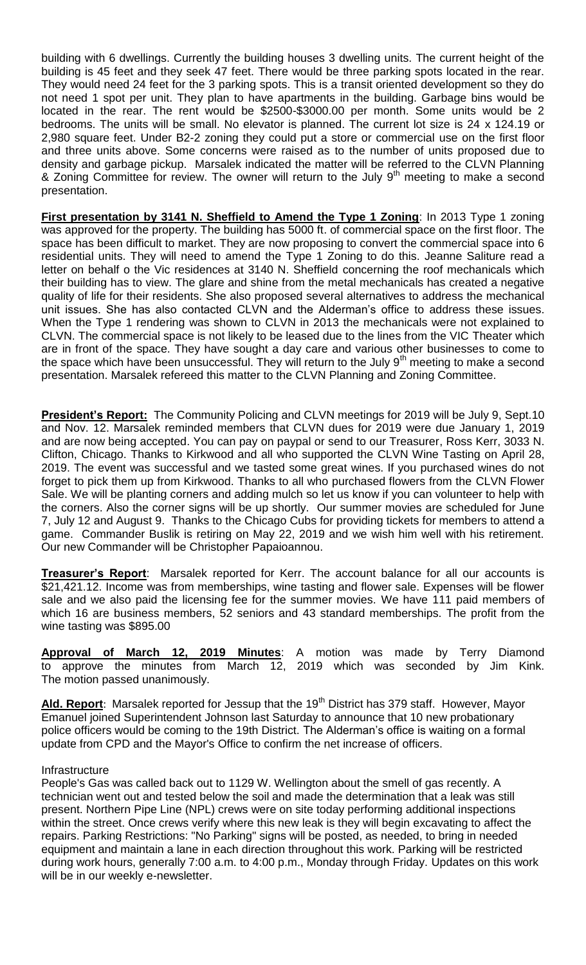building with 6 dwellings. Currently the building houses 3 dwelling units. The current height of the building is 45 feet and they seek 47 feet. There would be three parking spots located in the rear. They would need 24 feet for the 3 parking spots. This is a transit oriented development so they do not need 1 spot per unit. They plan to have apartments in the building. Garbage bins would be located in the rear. The rent would be \$2500-\$3000.00 per month. Some units would be 2 bedrooms. The units will be small. No elevator is planned. The current lot size is 24 x 124.19 or 2,980 square feet. Under B2-2 zoning they could put a store or commercial use on the first floor and three units above. Some concerns were raised as to the number of units proposed due to density and garbage pickup. Marsalek indicated the matter will be referred to the CLVN Planning & Zoning Committee for review. The owner will return to the July  $9<sup>th</sup>$  meeting to make a second presentation.

**First presentation by 3141 N. Sheffield to Amend the Type 1 Zoning: In 2013 Type 1 zoning** was approved for the property. The building has 5000 ft. of commercial space on the first floor. The space has been difficult to market. They are now proposing to convert the commercial space into 6 residential units. They will need to amend the Type 1 Zoning to do this. Jeanne Saliture read a letter on behalf o the Vic residences at 3140 N. Sheffield concerning the roof mechanicals which their building has to view. The glare and shine from the metal mechanicals has created a negative quality of life for their residents. She also proposed several alternatives to address the mechanical unit issues. She has also contacted CLVN and the Alderman's office to address these issues. When the Type 1 rendering was shown to CLVN in 2013 the mechanicals were not explained to CLVN. The commercial space is not likely to be leased due to the lines from the VIC Theater which are in front of the space. They have sought a day care and various other businesses to come to the space which have been unsuccessful. They will return to the July  $9<sup>th</sup>$  meeting to make a second presentation. Marsalek refereed this matter to the CLVN Planning and Zoning Committee.

**President's Report:** The Community Policing and CLVN meetings for 2019 will be July 9, Sept.10 and Nov. 12. Marsalek reminded members that CLVN dues for 2019 were due January 1, 2019 and are now being accepted. You can pay on paypal or send to our Treasurer, Ross Kerr, 3033 N. Clifton, Chicago. Thanks to Kirkwood and all who supported the CLVN Wine Tasting on April 28, 2019. The event was successful and we tasted some great wines. If you purchased wines do not forget to pick them up from Kirkwood. Thanks to all who purchased flowers from the CLVN Flower Sale. We will be planting corners and adding mulch so let us know if you can volunteer to help with the corners. Also the corner signs will be up shortly. Our summer movies are scheduled for June 7, July 12 and August 9. Thanks to the Chicago Cubs for providing tickets for members to attend a game. Commander Buslik is retiring on May 22, 2019 and we wish him well with his retirement. Our new Commander will be Christopher Papaioannou.

**Treasurer's Report**: Marsalek reported for Kerr. The account balance for all our accounts is \$21,421.12. Income was from memberships, wine tasting and flower sale. Expenses will be flower sale and we also paid the licensing fee for the summer movies. We have 111 paid members of which 16 are business members, 52 seniors and 43 standard memberships. The profit from the wine tasting was \$895.00

**Approval of March 12, 2019 Minutes**: A motion was made by Terry Diamond to approve the minutes from March 12, 2019 which was seconded by Jim Kink. The motion passed unanimously.

Ald. Report: Marsalek reported for Jessup that the 19<sup>th</sup> District has 379 staff. However, Mayor Emanuel joined Superintendent Johnson last Saturday to announce that 10 new probationary police officers would be coming to the 19th District. The Alderman's office is waiting on a formal update from CPD and the Mayor's Office to confirm the net increase of officers.

#### Infrastructure

People's Gas was called back out to 1129 W. Wellington about the smell of gas recently. A technician went out and tested below the soil and made the determination that a leak was still present. Northern Pipe Line (NPL) crews were on site today performing additional inspections within the street. Once crews verify where this new leak is they will begin excavating to affect the repairs. Parking Restrictions: "No Parking" signs will be posted, as needed, to bring in needed equipment and maintain a lane in each direction throughout this work. Parking will be restricted during work hours, generally 7:00 a.m. to 4:00 p.m., Monday through Friday. Updates on this work will be in our weekly e-newsletter.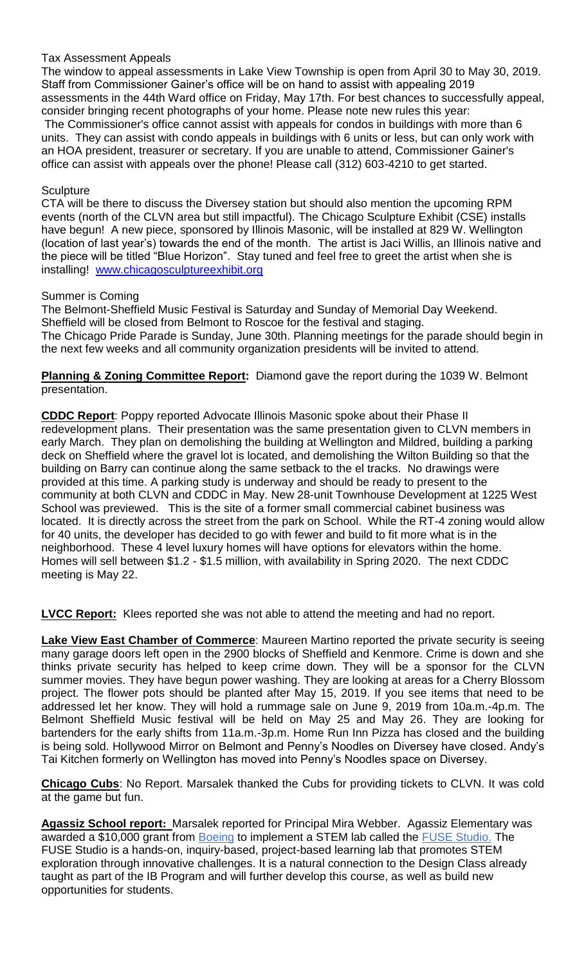### Tax Assessment Appeals

The window to appeal assessments in Lake View Township is open from April 30 to May 30, 2019. Staff from Commissioner Gainer's office will be on hand to assist with appealing 2019 assessments in the 44th Ward office on Friday, May 17th. For best chances to successfully appeal, consider bringing recent photographs of your home. Please note new rules this year:

The Commissioner's office cannot assist with appeals for condos in buildings with more than 6 units. They can assist with condo appeals in buildings with 6 units or less, but can only work with an HOA president, treasurer or secretary. If you are unable to attend, Commissioner Gainer's office can assist with appeals over the phone! Please call (312) 603-4210 to get started.

## **Sculpture**

CTA will be there to discuss the Diversey station but should also mention the upcoming RPM events (north of the CLVN area but still impactful). The Chicago Sculpture Exhibit (CSE) installs have begun! A new piece, sponsored by Illinois Masonic, will be installed at 829 W. Wellington (location of last year's) towards the end of the month. The artist is Jaci Willis, an Illinois native and the piece will be titled "Blue Horizon". Stay tuned and feel free to greet the artist when she is installing! [www.chicagosculptureexhibit.org](http://www.chicagosculptureexhibit.org/)

### Summer is Coming

The Belmont-Sheffield Music Festival is Saturday and Sunday of Memorial Day Weekend. Sheffield will be closed from Belmont to Roscoe for the festival and staging. The Chicago Pride Parade is Sunday, June 30th. Planning meetings for the parade should begin in the next few weeks and all community organization presidents will be invited to attend.

## **Planning & Zoning Committee Report:** Diamond gave the report during the 1039 W. Belmont presentation.

**CDDC Report**: Poppy reported Advocate Illinois Masonic spoke about their Phase II redevelopment plans. Their presentation was the same presentation given to CLVN members in early March. They plan on demolishing the building at Wellington and Mildred, building a parking deck on Sheffield where the gravel lot is located, and demolishing the Wilton Building so that the building on Barry can continue along the same setback to the el tracks. No drawings were provided at this time. A parking study is underway and should be ready to present to the community at both CLVN and CDDC in May. New 28-unit Townhouse Development at 1225 West School was previewed. This is the site of a former small commercial cabinet business was located. It is directly across the street from the park on School. While the RT-4 zoning would allow for 40 units, the developer has decided to go with fewer and build to fit more what is in the neighborhood. These 4 level luxury homes will have options for elevators within the home. Homes will sell between \$1.2 - \$1.5 million, with availability in Spring 2020. The next CDDC meeting is May 22.

**LVCC Report:** Klees reported she was not able to attend the meeting and had no report.

**Lake View East Chamber of Commerce**: Maureen Martino reported the private security is seeing many garage doors left open in the 2900 blocks of Sheffield and Kenmore. Crime is down and she thinks private security has helped to keep crime down. They will be a sponsor for the CLVN summer movies. They have begun power washing. They are looking at areas for a Cherry Blossom project. The flower pots should be planted after May 15, 2019. If you see items that need to be addressed let her know. They will hold a rummage sale on June 9, 2019 from 10a.m.-4p.m. The Belmont Sheffield Music festival will be held on May 25 and May 26. They are looking for bartenders for the early shifts from 11a.m.-3p.m. Home Run Inn Pizza has closed and the building is being sold. Hollywood Mirror on Belmont and Penny's Noodles on Diversey have closed. Andy's Tai Kitchen formerly on Wellington has moved into Penny's Noodles space on Diversey.

**Chicago Cubs**: No Report. Marsalek thanked the Cubs for providing tickets to CLVN. It was cold at the game but fun.

**Agassiz School report:** Marsalek reported for Principal Mira Webber. Agassiz Elementary was awarded a \$10,000 grant from [Boeing](https://www.boeing.com/) to implement a STEM lab called the [FUSE Studio.](https://www.fusestudio.net/) The FUSE Studio is a hands-on, inquiry-based, project-based learning lab that promotes STEM exploration through innovative challenges. It is a natural connection to the Design Class already taught as part of the IB Program and will further develop this course, as well as build new opportunities for students.